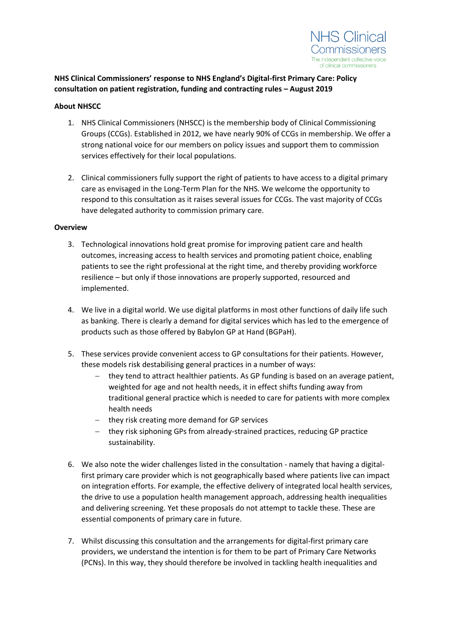

**NHS Clinical Commissioners' response to NHS England's Digital-first Primary Care: Policy consultation on patient registration, funding and contracting rules – August 2019**

#### **About NHSCC**

- 1. NHS Clinical Commissioners (NHSCC) is the membership body of Clinical Commissioning Groups (CCGs). Established in 2012, we have nearly 90% of CCGs in membership. We offer a strong national voice for our members on policy issues and support them to commission services effectively for their local populations.
- 2. Clinical commissioners fully support the right of patients to have access to a digital primary care as envisaged in the Long-Term Plan for the NHS. We welcome the opportunity to respond to this consultation as it raises several issues for CCGs. The vast majority of CCGs have delegated authority to commission primary care.

#### **Overview**

- 3. Technological innovations hold great promise for improving patient care and health outcomes, increasing access to health services and promoting patient choice, enabling patients to see the right professional at the right time, and thereby providing workforce resilience – but only if those innovations are properly supported, resourced and implemented.
- 4. We live in a digital world. We use digital platforms in most other functions of daily life such as banking. There is clearly a demand for digital services which has led to the emergence of products such as those offered by Babylon GP at Hand (BGPaH).
- 5. These services provide convenient access to GP consultations for their patients. However, these models risk destabilising general practices in a number of ways:
	- − they tend to attract healthier patients. As GP funding is based on an average patient, weighted for age and not health needs, it in effect shifts funding away from traditional general practice which is needed to care for patients with more complex health needs
	- − they risk creating more demand for GP services
	- − they risk siphoning GPs from already-strained practices, reducing GP practice sustainability.
- 6. We also note the wider challenges listed in the consultation namely that having a digitalfirst primary care provider which is not geographically based where patients live can impact on integration efforts. For example, the effective delivery of integrated local health services, the drive to use a population health management approach, addressing health inequalities and delivering screening. Yet these proposals do not attempt to tackle these. These are essential components of primary care in future.
- 7. Whilst discussing this consultation and the arrangements for digital-first primary care providers, we understand the intention is for them to be part of Primary Care Networks (PCNs). In this way, they should therefore be involved in tackling health inequalities and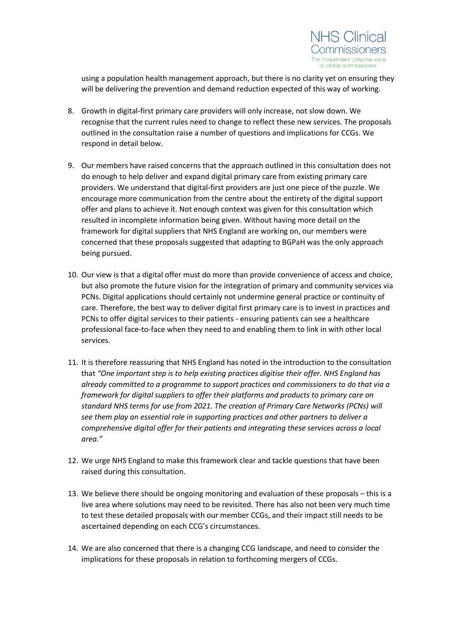

using a population health management approach, but there is no clarity yet on ensuring they will be delivering the prevention and demand reduction expected of this way of working.

- 8. Growth in digital-first primary care providers will only increase, not slow down. We recognise that the current rules need to change to reflect these new services. The proposals outlined in the consultation raise a number of questions and implications for CCGs. We respond in detail below.
- 9. Our members have raised concerns that the approach outlined in this consultation does not do enough to help deliver and expand digital primary care from existing primary care providers. We understand that digital-first providers are just one piece of the puzzle. We encourage more communication from the centre about the entirety of the digital support offer and plans to achieve it. Not enough context was given for this consultation which resulted in incomplete information being given. Without having more detail on the framework for digital suppliers that NHS England are working on, our members were concerned that these proposals suggested that adapting to BGPaH was the only approach being pursued.
- 10. Our view is that a digital offer must do more than provide convenience of access and choice, but also promote the future vision for the integration of primary and community services via PCNs. Digital applications should certainly not undermine general practice or continuity of care. Therefore, the best way to deliver digital first primary care is to invest in practices and PCNs to offer digital services to their patients - ensuring patients can see a healthcare professional face-to-face when they need to and enabling them to link in with other local services.
- 11. It is therefore reassuring that NHS England has noted in the introduction to the consultation that *"One important step is to help existing practices digitise their offer. NHS England has already committed to a programme to support practices and commissioners to do that via a framework for digital suppliers to offer their platforms and products to primary care on standard NHS terms for use from 2021. The creation of Primary Care Networks (PCNs) will see them play an essential role in supporting practices and other partners to deliver a comprehensive digital offer for their patients and integrating these services across a local area."*
- 12. We urge NHS England to make this framework clear and tackle questions that have been raised during this consultation.
- 13. We believe there should be ongoing monitoring and evaluation of these proposals this is a live area where solutions may need to be revisited. There has also not been very much time to test these detailed proposals with our member CCGs, and their impact still needs to be ascertained depending on each CCG's circumstances.
- 14. We are also concerned that there is a changing CCG landscape, and need to consider the implications for these proposals in relation to forthcoming mergers of CCGs.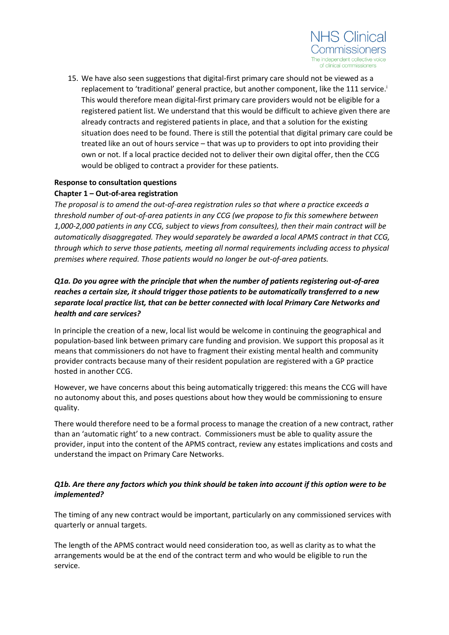

15. We have also seen suggestions that digital-first primary care should not be viewed as a replacement to 'traditional' general practice, but another component, like the 111 service.<sup>i</sup> This would therefore mean digital-first primary care providers would not be eligible for a registered patient list. We understand that this would be difficult to achieve given there are already contracts and registered patients in place, and that a solution for the existing situation does need to be found. There is still the potential that digital primary care could be treated like an out of hours service – that was up to providers to opt into providing their own or not. If a local practice decided not to deliver their own digital offer, then the CCG would be obliged to contract a provider for these patients.

### **Response to consultation questions Chapter 1 – Out-of-area registration**

*The proposal is to amend the out-of-area registration rules so that where a practice exceeds a threshold number of out-of-area patients in any CCG (we propose to fix this somewhere between 1,000-2,000 patients in any CCG, subject to views from consultees), then their main contract will be automatically disaggregated. They would separately be awarded a local APMS contract in that CCG, through which to serve those patients, meeting all normal requirements including access to physical premises where required. Those patients would no longer be out-of-area patients.*

# *Q1a. Do you agree with the principle that when the number of patients registering out-of-area reaches a certain size, it should trigger those patients to be automatically transferred to a new separate local practice list, that can be better connected with local Primary Care Networks and health and care services?*

In principle the creation of a new, local list would be welcome in continuing the geographical and population-based link between primary care funding and provision. We support this proposal as it means that commissioners do not have to fragment their existing mental health and community provider contracts because many of their resident population are registered with a GP practice hosted in another CCG.

However, we have concerns about this being automatically triggered: this means the CCG will have no autonomy about this, and poses questions about how they would be commissioning to ensure quality.

There would therefore need to be a formal process to manage the creation of a new contract, rather than an 'automatic right' to a new contract. Commissioners must be able to quality assure the provider, input into the content of the APMS contract, review any estates implications and costs and understand the impact on Primary Care Networks.

### *Q1b. Are there any factors which you think should be taken into account if this option were to be implemented?*

The timing of any new contract would be important, particularly on any commissioned services with quarterly or annual targets.

The length of the APMS contract would need consideration too, as well as clarity as to what the arrangements would be at the end of the contract term and who would be eligible to run the service.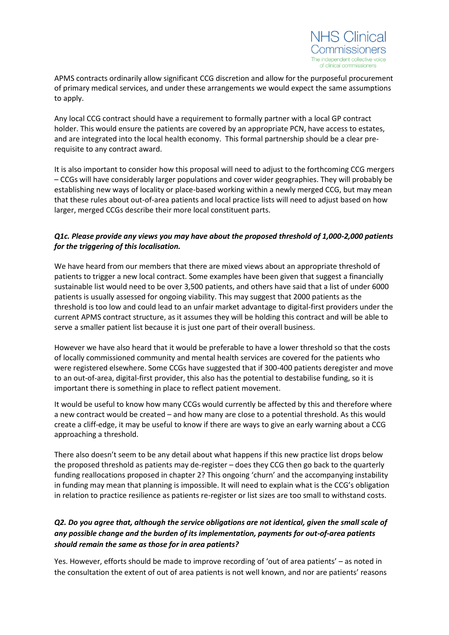

APMS contracts ordinarily allow significant CCG discretion and allow for the purposeful procurement of primary medical services, and under these arrangements we would expect the same assumptions to apply.

Any local CCG contract should have a requirement to formally partner with a local GP contract holder. This would ensure the patients are covered by an appropriate PCN, have access to estates, and are integrated into the local health economy. This formal partnership should be a clear prerequisite to any contract award.

It is also important to consider how this proposal will need to adjust to the forthcoming CCG mergers – CCGs will have considerably larger populations and cover wider geographies. They will probably be establishing new ways of locality or place-based working within a newly merged CCG, but may mean that these rules about out-of-area patients and local practice lists will need to adjust based on how larger, merged CCGs describe their more local constituent parts.

### *Q1c. Please provide any views you may have about the proposed threshold of 1,000-2,000 patients for the triggering of this localisation.*

We have heard from our members that there are mixed views about an appropriate threshold of patients to trigger a new local contract. Some examples have been given that suggest a financially sustainable list would need to be over 3,500 patients, and others have said that a list of under 6000 patients is usually assessed for ongoing viability. This may suggest that 2000 patients as the threshold is too low and could lead to an unfair market advantage to digital-first providers under the current APMS contract structure, as it assumes they will be holding this contract and will be able to serve a smaller patient list because it is just one part of their overall business.

However we have also heard that it would be preferable to have a lower threshold so that the costs of locally commissioned community and mental health services are covered for the patients who were registered elsewhere. Some CCGs have suggested that if 300-400 patients deregister and move to an out-of-area, digital-first provider, this also has the potential to destabilise funding, so it is important there is something in place to reflect patient movement.

It would be useful to know how many CCGs would currently be affected by this and therefore where a new contract would be created – and how many are close to a potential threshold. As this would create a cliff-edge, it may be useful to know if there are ways to give an early warning about a CCG approaching a threshold.

There also doesn't seem to be any detail about what happens if this new practice list drops below the proposed threshold as patients may de-register – does they CCG then go back to the quarterly funding reallocations proposed in chapter 2? This ongoing 'churn' and the accompanying instability in funding may mean that planning is impossible. It will need to explain what is the CCG's obligation in relation to practice resilience as patients re-register or list sizes are too small to withstand costs.

# *Q2. Do you agree that, although the service obligations are not identical, given the small scale of any possible change and the burden of its implementation, payments for out-of-area patients should remain the same as those for in area patients?*

Yes. However, efforts should be made to improve recording of 'out of area patients' – as noted in the consultation the extent of out of area patients is not well known, and nor are patients' reasons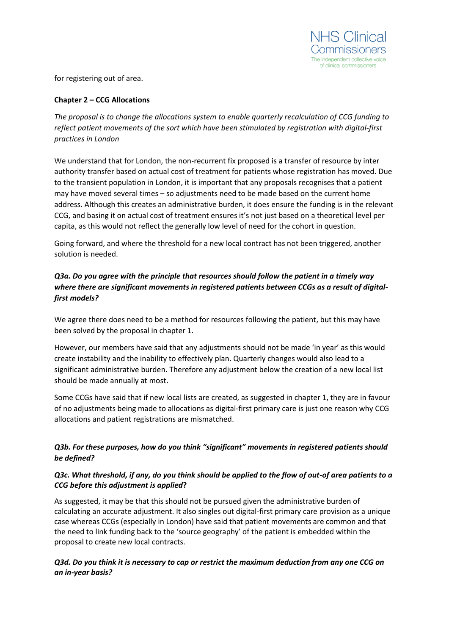

for registering out of area.

#### **Chapter 2 – CCG Allocations**

*The proposal is to change the allocations system to enable quarterly recalculation of CCG funding to reflect patient movements of the sort which have been stimulated by registration with digital-first practices in London*

We understand that for London, the non-recurrent fix proposed is a transfer of resource by inter authority transfer based on actual cost of treatment for patients whose registration has moved. Due to the transient population in London, it is important that any proposals recognises that a patient may have moved several times – so adjustments need to be made based on the current home address. Although this creates an administrative burden, it does ensure the funding is in the relevant CCG, and basing it on actual cost of treatment ensures it's not just based on a theoretical level per capita, as this would not reflect the generally low level of need for the cohort in question.

Going forward, and where the threshold for a new local contract has not been triggered, another solution is needed.

## *Q3a. Do you agree with the principle that resources should follow the patient in a timely way where there are significant movements in registered patients between CCGs as a result of digitalfirst models?*

We agree there does need to be a method for resources following the patient, but this may have been solved by the proposal in chapter 1.

However, our members have said that any adjustments should not be made 'in year' as this would create instability and the inability to effectively plan. Quarterly changes would also lead to a significant administrative burden. Therefore any adjustment below the creation of a new local list should be made annually at most.

Some CCGs have said that if new local lists are created, as suggested in chapter 1, they are in favour of no adjustments being made to allocations as digital-first primary care is just one reason why CCG allocations and patient registrations are mismatched.

# *Q3b. For these purposes, how do you think "significant" movements in registered patients should be defined?*

#### *Q3c. What threshold, if any, do you think should be applied to the flow of out-of area patients to a CCG before this adjustment is applied***?**

As suggested, it may be that this should not be pursued given the administrative burden of calculating an accurate adjustment. It also singles out digital-first primary care provision as a unique case whereas CCGs (especially in London) have said that patient movements are common and that the need to link funding back to the 'source geography' of the patient is embedded within the proposal to create new local contracts.

#### *Q3d. Do you think it is necessary to cap or restrict the maximum deduction from any one CCG on an in-year basis?*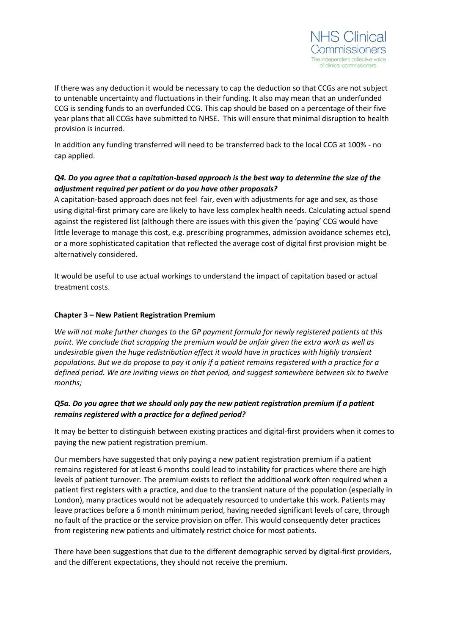

If there was any deduction it would be necessary to cap the deduction so that CCGs are not subject to untenable uncertainty and fluctuations in their funding. It also may mean that an underfunded CCG is sending funds to an overfunded CCG. This cap should be based on a percentage of their five year plans that all CCGs have submitted to NHSE. This will ensure that minimal disruption to health provision is incurred.

In addition any funding transferred will need to be transferred back to the local CCG at 100% - no cap applied.

# *Q4. Do you agree that a capitation-based approach is the best way to determine the size of the adjustment required per patient or do you have other proposals?*

A capitation-based approach does not feel fair, even with adjustments for age and sex, as those using digital-first primary care are likely to have less complex health needs. Calculating actual spend against the registered list (although there are issues with this given the 'paying' CCG would have little leverage to manage this cost, e.g. prescribing programmes, admission avoidance schemes etc), or a more sophisticated capitation that reflected the average cost of digital first provision might be alternatively considered.

It would be useful to use actual workings to understand the impact of capitation based or actual treatment costs.

#### **Chapter 3 – New Patient Registration Premium**

*We will not make further changes to the GP payment formula for newly registered patients at this point. We conclude that scrapping the premium would be unfair given the extra work as well as undesirable given the huge redistribution effect it would have in practices with highly transient populations. But we do propose to pay it only if a patient remains registered with a practice for a defined period. We are inviting views on that period, and suggest somewhere between six to twelve months;*

### *Q5a. Do you agree that we should only pay the new patient registration premium if a patient remains registered with a practice for a defined period?*

It may be better to distinguish between existing practices and digital-first providers when it comes to paying the new patient registration premium.

Our members have suggested that only paying a new patient registration premium if a patient remains registered for at least 6 months could lead to instability for practices where there are high levels of patient turnover. The premium exists to reflect the additional work often required when a patient first registers with a practice, and due to the transient nature of the population (especially in London), many practices would not be adequately resourced to undertake this work. Patients may leave practices before a 6 month minimum period, having needed significant levels of care, through no fault of the practice or the service provision on offer. This would consequently deter practices from registering new patients and ultimately restrict choice for most patients.

There have been suggestions that due to the different demographic served by digital-first providers, and the different expectations, they should not receive the premium.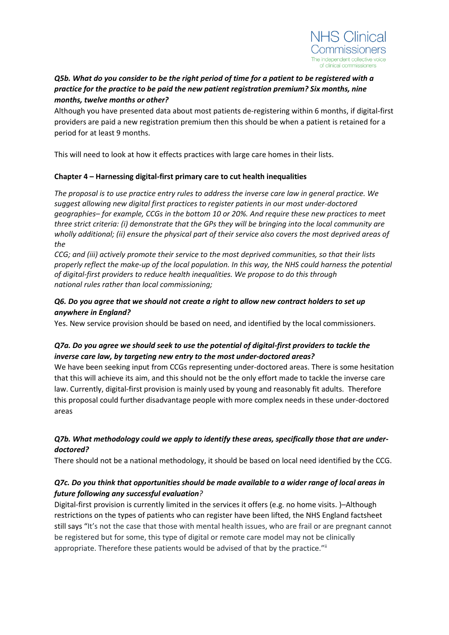

## *Q5b. What do you consider to be the right period of time for a patient to be registered with a practice for the practice to be paid the new patient registration premium? Six months, nine months, twelve months or other?*

Although you have presented data about most patients de-registering within 6 months, if digital-first providers are paid a new registration premium then this should be when a patient is retained for a period for at least 9 months.

This will need to look at how it effects practices with large care homes in their lists.

#### **Chapter 4 – Harnessing digital-first primary care to cut health inequalities**

*The proposal is to use practice entry rules to address the inverse care law in general practice. We suggest allowing new digital first practices to register patients in our most under-doctored geographies– for example, CCGs in the bottom 10 or 20%. And require these new practices to meet three strict criteria: (i) demonstrate that the GPs they will be bringing into the local community are wholly additional; (ii) ensure the physical part of their service also covers the most deprived areas of the*

*CCG; and (iii) actively promote their service to the most deprived communities, so that their lists properly reflect the make-up of the local population. In this way, the NHS could harness the potential of digital-first providers to reduce health inequalities. We propose to do this through national rules rather than local commissioning;*

### *Q6. Do you agree that we should not create a right to allow new contract holders to set up anywhere in England?*

Yes. New service provision should be based on need, and identified by the local commissioners.

### *Q7a. Do you agree we should seek to use the potential of digital-first providers to tackle the inverse care law, by targeting new entry to the most under-doctored areas?*

We have been seeking input from CCGs representing under-doctored areas. There is some hesitation that this will achieve its aim, and this should not be the only effort made to tackle the inverse care law. Currently, digital-first provision is mainly used by young and reasonably fit adults. Therefore this proposal could further disadvantage people with more complex needs in these under-doctored areas

### *Q7b. What methodology could we apply to identify these areas, specifically those that are underdoctored?*

There should not be a national methodology, it should be based on local need identified by the CCG.

# *Q7c. Do you think that opportunities should be made available to a wider range of local areas in future following any successful evaluation?*

Digital-first provision is currently limited in the services it offers (e.g. no home visits. )–Although restrictions on the types of patients who can register have been lifted, the NHS England factsheet still says "It's not the case that those with mental health issues, who are frail or are pregnant cannot be registered but for some, this type of digital or remote care model may not be clinically appropriate. Therefore these patients would be advised of that by the practice.""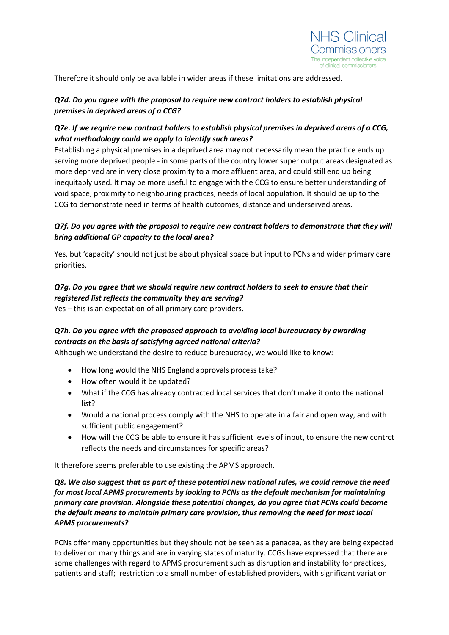

Therefore it should only be available in wider areas if these limitations are addressed.

## *Q7d. Do you agree with the proposal to require new contract holders to establish physical premises in deprived areas of a CCG?*

## *Q7e. If we require new contract holders to establish physical premises in deprived areas of a CCG, what methodology could we apply to identify such areas?*

Establishing a physical premises in a deprived area may not necessarily mean the practice ends up serving more deprived people - in some parts of the country lower super output areas designated as more deprived are in very close proximity to a more affluent area, and could still end up being inequitably used. It may be more useful to engage with the CCG to ensure better understanding of void space, proximity to neighbouring practices, needs of local population. It should be up to the CCG to demonstrate need in terms of health outcomes, distance and underserved areas.

### *Q7f. Do you agree with the proposal to require new contract holders to demonstrate that they will bring additional GP capacity to the local area?*

Yes, but 'capacity' should not just be about physical space but input to PCNs and wider primary care priorities.

# *Q7g. Do you agree that we should require new contract holders to seek to ensure that their registered list reflects the community they are serving?*

Yes – this is an expectation of all primary care providers.

# *Q7h. Do you agree with the proposed approach to avoiding local bureaucracy by awarding contracts on the basis of satisfying agreed national criteria?*

Although we understand the desire to reduce bureaucracy, we would like to know:

- How long would the NHS England approvals process take?
- How often would it be updated?
- What if the CCG has already contracted local services that don't make it onto the national list?
- Would a national process comply with the NHS to operate in a fair and open way, and with sufficient public engagement?
- How will the CCG be able to ensure it has sufficient levels of input, to ensure the new contrct reflects the needs and circumstances for specific areas?

It therefore seems preferable to use existing the APMS approach.

#### *Q8. We also suggest that as part of these potential new national rules, we could remove the need for most local APMS procurements by looking to PCNs as the default mechanism for maintaining primary care provision. Alongside these potential changes, do you agree that PCNs could become the default means to maintain primary care provision, thus removing the need for most local APMS procurements?*

PCNs offer many opportunities but they should not be seen as a panacea, as they are being expected to deliver on many things and are in varying states of maturity. CCGs have expressed that there are some challenges with regard to APMS procurement such as disruption and instability for practices, patients and staff; restriction to a small number of established providers, with significant variation